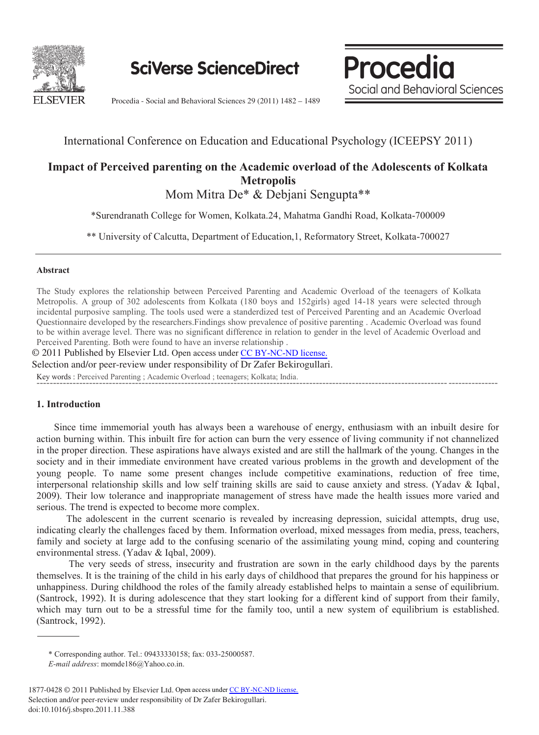

**SciVerse ScienceDirect** 

Procedia Social and Behavioral Sciences

Procedia - Social and Behavioral Sciences 29 (2011) 1482 – 1489

# International Conference on Education and Educational Psychology (ICEEPSY 2011)

# **Impact of Perceived parenting on the Academic overload of the Adolescents of Kolkata Metropolis**

# Mom Mitra De\* & Debjani Sengupta\*\*

\*Surendranath College for Women, Kolkata.24, Mahatma Gandhi Road, Kolkata-700009

\*\* University of Calcutta, Department of Education,1, Reformatory Street, Kolkata-700027

#### **Abstract**

The Study explores the relationship between Perceived Parenting and Academic Overload of the teenagers of Kolkata Metropolis. A group of 302 adolescents from Kolkata (180 boys and 152girls) aged 14-18 years were selected through incidental purposive sampling. The tools used were a standerdized test of Perceived Parenting and an Academic Overload Questionnaire developed by the researchers.Findings show prevalence of positive parenting . Academic Overload was found to be within average level. There was no significant difference in relation to gender in the level of Academic Overload and Perceived Parenting. Both were found to have an inverse relationship .

© 2011 Published by Elsevier Ltd. Open access under [CC BY-NC-ND license.](http://creativecommons.org/licenses/by-nc-nd/3.0/)

Selection and/or peer-review under responsibility of Dr Zafer Bekirogullari.

Key words : Perceived Parenting ; Academic Overload ; teenagers; Kolkata; India.

### **1. Introduction**

 Since time immemorial youth has always been a warehouse of energy, enthusiasm with an inbuilt desire for action burning within. This inbuilt fire for action can burn the very essence of living community if not channelized in the proper direction. These aspirations have always existed and are still the hallmark of the young. Changes in the society and in their immediate environment have created various problems in the growth and development of the young people. To name some present changes include competitive examinations, reduction of free time, interpersonal relationship skills and low self training skills are said to cause anxiety and stress. (Yadav & Iqbal, 2009). Their low tolerance and inappropriate management of stress have made the health issues more varied and serious. The trend is expected to become more complex.

 The adolescent in the current scenario is revealed by increasing depression, suicidal attempts, drug use, indicating clearly the challenges faced by them. Information overload, mixed messages from media, press, teachers, family and society at large add to the confusing scenario of the assimilating young mind, coping and countering environmental stress. (Yadav & Iqbal, 2009).

 The very seeds of stress, insecurity and frustration are sown in the early childhood days by the parents themselves. It is the training of the child in his early days of childhood that prepares the ground for his happiness or unhappiness. During childhood the roles of the family already established helps to maintain a sense of equilibrium. (Santrock, 1992). It is during adolescence that they start looking for a different kind of support from their family, which may turn out to be a stressful time for the family too, until a new system of equilibrium is established. (Santrock, 1992).

<sup>\*</sup> Corresponding author. Tel.: 09433330158; fax: 033-25000587.

*E-mail address*: momde186@Yahoo.co.in.

<sup>1877-0428 © 2011</sup> Published by Elsevier Ltd. Open access under [CC BY-NC-ND license.](http://creativecommons.org/licenses/by-nc-nd/3.0/)Selection and/or peer-review under responsibility of Dr Zafer Bekirogullari. doi:10.1016/j.sbspro.2011.11.388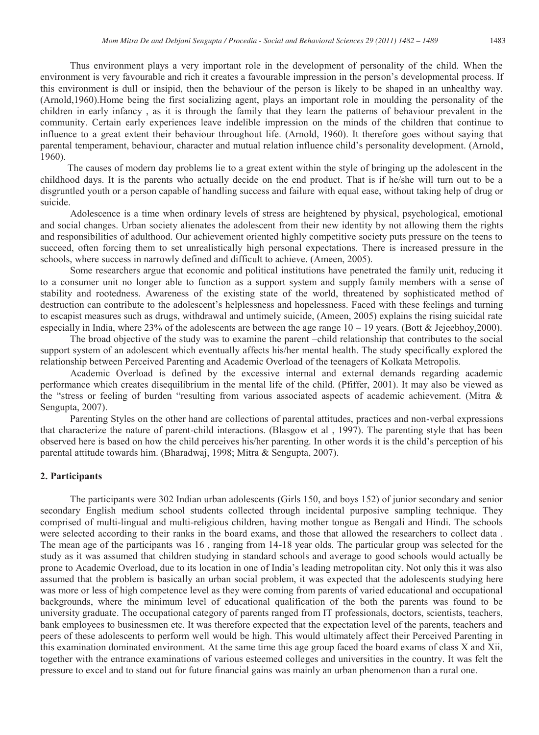Thus environment plays a very important role in the development of personality of the child. When the environment is very favourable and rich it creates a favourable impression in the person's developmental process. If this environment is dull or insipid, then the behaviour of the person is likely to be shaped in an unhealthy way. (Arnold,1960).Home being the first socializing agent, plays an important role in moulding the personality of the children in early infancy , as it is through the family that they learn the patterns of behaviour prevalent in the community. Certain early experiences leave indelible impression on the minds of the children that continue to influence to a great extent their behaviour throughout life. (Arnold, 1960). It therefore goes without saying that parental temperament, behaviour, character and mutual relation influence child's personality development. (Arnold, 1960).

 The causes of modern day problems lie to a great extent within the style of bringing up the adolescent in the childhood days. It is the parents who actually decide on the end product. That is if he/she will turn out to be a disgruntled youth or a person capable of handling success and failure with equal ease, without taking help of drug or suicide.

 Adolescence is a time when ordinary levels of stress are heightened by physical, psychological, emotional and social changes. Urban society alienates the adolescent from their new identity by not allowing them the rights and responsibilities of adulthood. Our achievement oriented highly competitive society puts pressure on the teens to succeed, often forcing them to set unrealistically high personal expectations. There is increased pressure in the schools, where success in narrowly defined and difficult to achieve. (Ameen, 2005).

 Some researchers argue that economic and political institutions have penetrated the family unit, reducing it to a consumer unit no longer able to function as a support system and supply family members with a sense of stability and rootedness. Awareness of the existing state of the world, threatened by sophisticated method of destruction can contribute to the adolescent's helplessness and hopelessness. Faced with these feelings and turning to escapist measures such as drugs, withdrawal and untimely suicide, (Ameen, 2005) explains the rising suicidal rate especially in India, where 23% of the adolescents are between the age range  $10 - 19$  years. (Bott & Jejeebhoy, 2000).

 The broad objective of the study was to examine the parent –child relationship that contributes to the social support system of an adolescent which eventually affects his/her mental health. The study specifically explored the relationship between Perceived Parenting and Academic Overload of the teenagers of Kolkata Metropolis.

 Academic Overload is defined by the excessive internal and external demands regarding academic performance which creates disequilibrium in the mental life of the child. (Pfiffer, 2001). It may also be viewed as the "stress or feeling of burden "resulting from various associated aspects of academic achievement. (Mitra & Sengupta, 2007).

 Parenting Styles on the other hand are collections of parental attitudes, practices and non-verbal expressions that characterize the nature of parent-child interactions. (Blasgow et al , 1997). The parenting style that has been observed here is based on how the child perceives his/her parenting. In other words it is the child's perception of his parental attitude towards him. (Bharadwaj, 1998; Mitra & Sengupta, 2007).

### **2. Participants**

 The participants were 302 Indian urban adolescents (Girls 150, and boys 152) of junior secondary and senior secondary English medium school students collected through incidental purposive sampling technique. They comprised of multi-lingual and multi-religious children, having mother tongue as Bengali and Hindi. The schools were selected according to their ranks in the board exams, and those that allowed the researchers to collect data . The mean age of the participants was 16 , ranging from 14-18 year olds. The particular group was selected for the study as it was assumed that children studying in standard schools and average to good schools would actually be prone to Academic Overload, due to its location in one of India's leading metropolitan city. Not only this it was also assumed that the problem is basically an urban social problem, it was expected that the adolescents studying here was more or less of high competence level as they were coming from parents of varied educational and occupational backgrounds, where the minimum level of educational qualification of the both the parents was found to be university graduate. The occupational category of parents ranged from IT professionals, doctors, scientists, teachers, bank employees to businessmen etc. It was therefore expected that the expectation level of the parents, teachers and peers of these adolescents to perform well would be high. This would ultimately affect their Perceived Parenting in this examination dominated environment. At the same time this age group faced the board exams of class X and Xii, together with the entrance examinations of various esteemed colleges and universities in the country. It was felt the pressure to excel and to stand out for future financial gains was mainly an urban phenomenon than a rural one.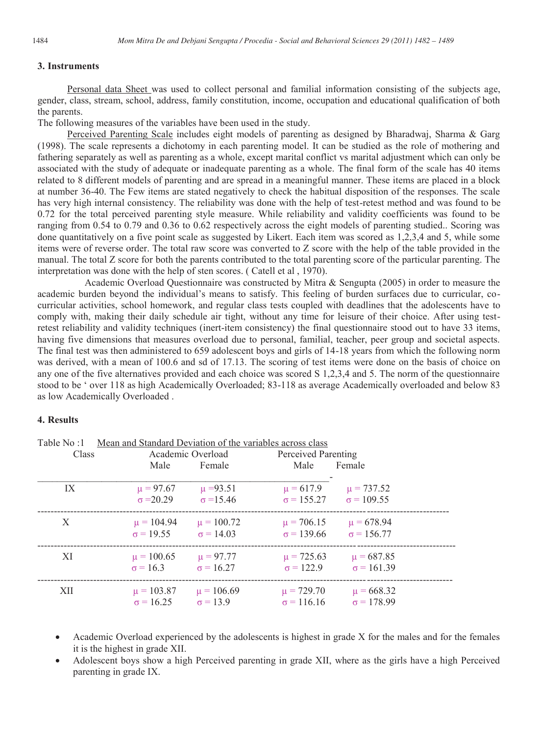#### **3. Instruments**

 Personal data Sheet was used to collect personal and familial information consisting of the subjects age, gender, class, stream, school, address, family constitution, income, occupation and educational qualification of both the parents.

The following measures of the variables have been used in the study.

 Perceived Parenting Scale includes eight models of parenting as designed by Bharadwaj, Sharma & Garg (1998). The scale represents a dichotomy in each parenting model. It can be studied as the role of mothering and fathering separately as well as parenting as a whole, except marital conflict vs marital adjustment which can only be associated with the study of adequate or inadequate parenting as a whole. The final form of the scale has 40 items related to 8 different models of parenting and are spread in a meaningful manner. These items are placed in a block at number 36-40. The Few items are stated negatively to check the habitual disposition of the responses. The scale has very high internal consistency. The reliability was done with the help of test-retest method and was found to be 0.72 for the total perceived parenting style measure. While reliability and validity coefficients was found to be ranging from 0.54 to 0.79 and 0.36 to 0.62 respectively across the eight models of parenting studied.. Scoring was done quantitatively on a five point scale as suggested by Likert. Each item was scored as 1,2,3,4 and 5, while some items were of reverse order. The total raw score was converted to Z score with the help of the table provided in the manual. The total Z score for both the parents contributed to the total parenting score of the particular parenting. The interpretation was done with the help of sten scores. ( Catell et al , 1970).

 Academic Overload Questionnaire was constructed by Mitra & Sengupta (2005) in order to measure the academic burden beyond the individual's means to satisfy. This feeling of burden surfaces due to curricular, cocurricular activities, school homework, and regular class tests coupled with deadlines that the adolescents have to comply with, making their daily schedule air tight, without any time for leisure of their choice. After using testretest reliability and validity techniques (inert-item consistency) the final questionnaire stood out to have 33 items, having five dimensions that measures overload due to personal, familial, teacher, peer group and societal aspects. The final test was then administered to 659 adolescent boys and girls of 14-18 years from which the following norm was derived, with a mean of 100.6 and sd of 17.13. The scoring of test items were done on the basis of choice on any one of the five alternatives provided and each choice was scored S 1,2,3,4 and 5. The norm of the questionnaire stood to be ' over 118 as high Academically Overloaded; 83-118 as average Academically overloaded and below 83 as low Academically Overloaded .

### **4. Results**

| Class | Academic Overload                                   |                  | Perceived Parenting                 |                                     |
|-------|-----------------------------------------------------|------------------|-------------------------------------|-------------------------------------|
|       | Male                                                | Female           | Male                                | Female                              |
| IX    | $\mu = 97.67$                                       | $\mu = 93.51$    | $\mu = 617.9$                       | $\mu = 737.52$                      |
|       | $\sigma = 20.29$                                    | $\sigma = 15.46$ | $\sigma = 155.27$                   | $\sigma = 109.55$                   |
| X     | $\mu = 104.94$<br>$\sigma = 19.55$ $\sigma = 14.03$ | $\mu = 100.72$   | $\mu = 706.15$<br>$\sigma$ = 139.66 | $\mu = 678.94$<br>$\sigma = 156.77$ |
| XI    | $\mu = 100.65$                                      | $\mu = 97.77$    | $\mu = 725.63$                      | $\mu = 687.85$                      |
|       | $\sigma = 16.3$                                     | $\sigma = 16.27$ | $\sigma = 122.9$                    | $\sigma$ = 161.39                   |
| XІІ   | $\mu = 103.87$                                      | $\mu = 106.69$   | $\mu = 729.70$                      | $\mu = 668.32$                      |
|       | $\sigma = 16.25$                                    | $\sigma = 13.9$  | $\sigma$ = 116.16                   | $\sigma = 178.99$                   |

Table No :1 Mean and Standard Deviation of the variables across class

- x Academic Overload experienced by the adolescents is highest in grade X for the males and for the females it is the highest in grade XII.
- x Adolescent boys show a high Perceived parenting in grade XII, where as the girls have a high Perceived parenting in grade IX.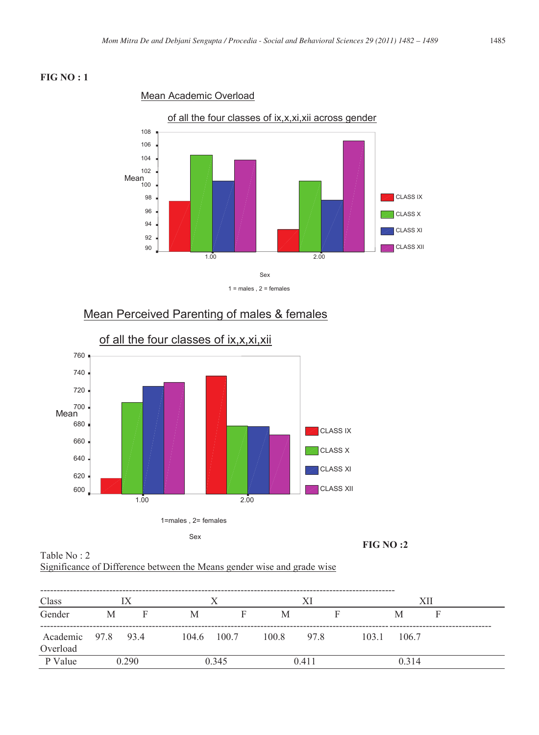## **FIG NO : 1**

## Mean Academic Overload





# Mean Perceived Parenting of males & females



### Table No : 2 Significance of Difference between the Means gender wise and grade wise

| Class                          |   | IХ    |   |             |            | ΧI    |                 | XII |  |
|--------------------------------|---|-------|---|-------------|------------|-------|-----------------|-----|--|
| Gender                         | M | F     | M | F           | M          |       | M               |     |  |
| Academic 97.8 93.4<br>Overload |   |       |   | 104.6 100.7 | 100.8 97.8 |       | $103.1$ $106.7$ |     |  |
| P Value                        |   | 0.290 |   | 0.345       |            | 0.411 | 0.314           |     |  |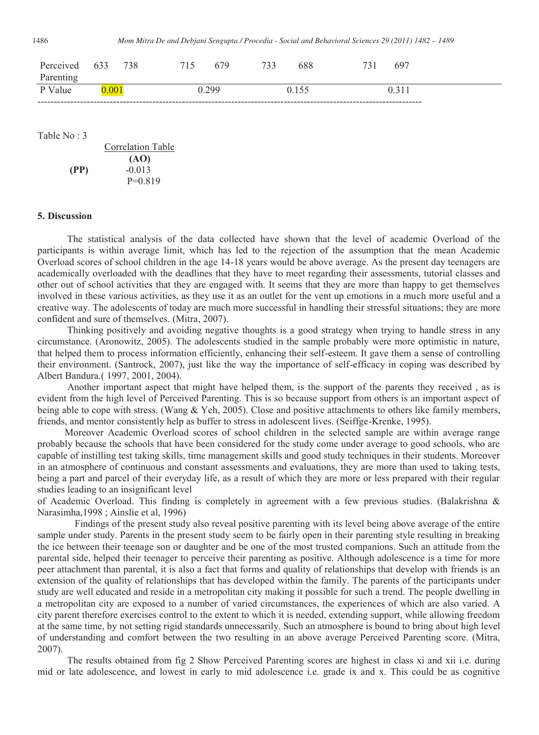| Perceived 633<br>Parenting |       | 738 | 715 | 679   | 733 | 688   | 731 | 697   |
|----------------------------|-------|-----|-----|-------|-----|-------|-----|-------|
| P Value                    | 0.001 |     |     | 0.299 |     | 0.155 |     | 0.311 |

Table  $No \cdot 3$ 

|      | <b>Correlation Table</b> |
|------|--------------------------|
|      | (A <sub>O</sub> )        |
| (PP) | $-0.013$                 |
|      | $P=0.819$                |

#### **5. Discussion**

 The statistical analysis of the data collected have shown that the level of academic Overload of the participants is within average limit, which has led to the rejection of the assumption that the mean Academic Overload scores of school children in the age 14-18 years would be above average. As the present day teenagers are academically overloaded with the deadlines that they have to meet regarding their assessments, tutorial classes and other out of school activities that they are engaged with. It seems that they are more than happy to get themselves involved in these various activities, as they use it as an outlet for the vent up emotions in a much more useful and a creative way. The adolescents of today are much more successful in handling their stressful situations; they are more confident and sure of themselves. (Mitra, 2007).

 Thinking positively and avoiding negative thoughts is a good strategy when trying to handle stress in any circumstance. (Aronowitz, 2005). The adolescents studied in the sample probably were more optimistic in nature, that helped them to process information efficiently, enhancing their self-esteem. It gave them a sense of controlling their environment. (Santrock, 2007), just like the way the importance of self-efficacy in coping was described by Albert Bandura.( 1997, 2001, 2004).

 Another important aspect that might have helped them, is the support of the parents they received , as is evident from the high level of Perceived Parenting. This is so because support from others is an important aspect of being able to cope with stress. (Wang  $& Yeh$ , 2005). Close and positive attachments to others like family members, friends, and mentor consistently help as buffer to stress in adolescent lives. (Seiffge-Krenke, 1995).

 Moreover Academic Overload scores of school children in the selected sample are within average range probably because the schools that have been considered for the study come under average to good schools, who are capable of instilling test taking skills, time management skills and good study techniques in their students. Moreover in an atmosphere of continuous and constant assessments and evaluations, they are more than used to taking tests, being a part and parcel of their everyday life, as a result of which they are more or less prepared with their regular studies leading to an insignificant level

of Academic Overload. This finding is completely in agreement with a few previous studies. (Balakrishna & Narasimha,1998 ; Ainslie et al, 1996)

 Findings of the present study also reveal positive parenting with its level being above average of the entire sample under study. Parents in the present study seem to be fairly open in their parenting style resulting in breaking the ice between their teenage son or daughter and be one of the most trusted companions. Such an attitude from the parental side, helped their teenager to perceive their parenting as positive. Although adolescence is a time for more peer attachment than parental, it is also a fact that forms and quality of relationships that develop with friends is an extension of the quality of relationships that has developed within the family. The parents of the participants under study are well educated and reside in a metropolitan city making it possible for such a trend. The people dwelling in a metropolitan city are exposed to a number of varied circumstances, the experiences of which are also varied. A city parent therefore exercises control to the extent to which it is needed, extending support, while allowing freedom at the same time, by not setting rigid standards unnecessarily. Such an atmosphere is bound to bring about high level of understanding and comfort between the two resulting in an above average Perceived Parenting score. (Mitra, 2007).

 The results obtained from fig 2 Show Perceived Parenting scores are highest in class xi and xii i.e. during mid or late adolescence, and lowest in early to mid adolescence i.e. grade ix and x. This could be as cognitive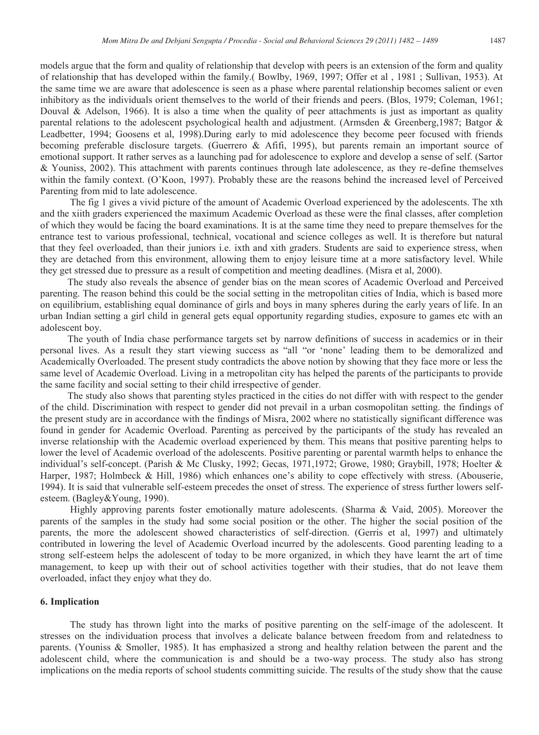models argue that the form and quality of relationship that develop with peers is an extension of the form and quality of relationship that has developed within the family.( Bowlby, 1969, 1997; Offer et al , 1981 ; Sullivan, 1953). At the same time we are aware that adolescence is seen as a phase where parental relationship becomes salient or even inhibitory as the individuals orient themselves to the world of their friends and peers. (Blos, 1979; Coleman, 1961; Douval & Adelson, 1966). It is also a time when the quality of peer attachments is just as important as quality parental relations to the adolescent psychological health and adjustment. (Armsden & Greenberg,1987; Batgor & Leadbetter, 1994; Goosens et al, 1998).During early to mid adolescence they become peer focused with friends

becoming preferable disclosure targets. (Guerrero & Afifi, 1995), but parents remain an important source of emotional support. It rather serves as a launching pad for adolescence to explore and develop a sense of self. (Sartor & Youniss, 2002). This attachment with parents continues through late adolescence, as they re-define themselves within the family context. (O'Koon, 1997). Probably these are the reasons behind the increased level of Perceived Parenting from mid to late adolescence.

 The fig 1 gives a vivid picture of the amount of Academic Overload experienced by the adolescents. The xth and the xiith graders experienced the maximum Academic Overload as these were the final classes, after completion of which they would be facing the board examinations. It is at the same time they need to prepare themselves for the entrance test to various professional, technical, vocational and science colleges as well. It is therefore but natural that they feel overloaded, than their juniors i.e. ixth and xith graders. Students are said to experience stress, when they are detached from this environment, allowing them to enjoy leisure time at a more satisfactory level. While they get stressed due to pressure as a result of competition and meeting deadlines. (Misra et al, 2000).

 The study also reveals the absence of gender bias on the mean scores of Academic Overload and Perceived parenting. The reason behind this could be the social setting in the metropolitan cities of India, which is based more on equilibrium, establishing equal dominance of girls and boys in many spheres during the early years of life. In an urban Indian setting a girl child in general gets equal opportunity regarding studies, exposure to games etc with an adolescent boy.

 The youth of India chase performance targets set by narrow definitions of success in academics or in their personal lives. As a result they start viewing success as "all "or 'none' leading them to be demoralized and Academically Overloaded. The present study contradicts the above notion by showing that they face more or less the same level of Academic Overload. Living in a metropolitan city has helped the parents of the participants to provide the same facility and social setting to their child irrespective of gender.

 The study also shows that parenting styles practiced in the cities do not differ with with respect to the gender of the child. Discrimination with respect to gender did not prevail in a urban cosmopolitan setting. the findings of the present study are in accordance with the findings of Misra, 2002 where no statistically significant difference was found in gender for Academic Overload. Parenting as perceived by the participants of the study has revealed an inverse relationship with the Academic overload experienced by them. This means that positive parenting helps to lower the level of Academic overload of the adolescents. Positive parenting or parental warmth helps to enhance the individual's self-concept. (Parish & Mc Clusky, 1992; Gecas, 1971,1972; Growe, 1980; Graybill, 1978; Hoelter & Harper, 1987; Holmbeck & Hill, 1986) which enhances one's ability to cope effectively with stress. (Abouserie, 1994). It is said that vulnerable self-esteem precedes the onset of stress. The experience of stress further lowers selfesteem. (Bagley&Young, 1990).

 Highly approving parents foster emotionally mature adolescents. (Sharma & Vaid, 2005). Moreover the parents of the samples in the study had some social position or the other. The higher the social position of the parents, the more the adolescent showed characteristics of self-direction. (Gerris et al, 1997) and ultimately contributed in lowering the level of Academic Overload incurred by the adolescents. Good parenting leading to a strong self-esteem helps the adolescent of today to be more organized, in which they have learnt the art of time management, to keep up with their out of school activities together with their studies, that do not leave them overloaded, infact they enjoy what they do.

#### **6. Implication**

 The study has thrown light into the marks of positive parenting on the self-image of the adolescent. It stresses on the individuation process that involves a delicate balance between freedom from and relatedness to parents. (Youniss & Smoller, 1985). It has emphasized a strong and healthy relation between the parent and the adolescent child, where the communication is and should be a two-way process. The study also has strong implications on the media reports of school students committing suicide. The results of the study show that the cause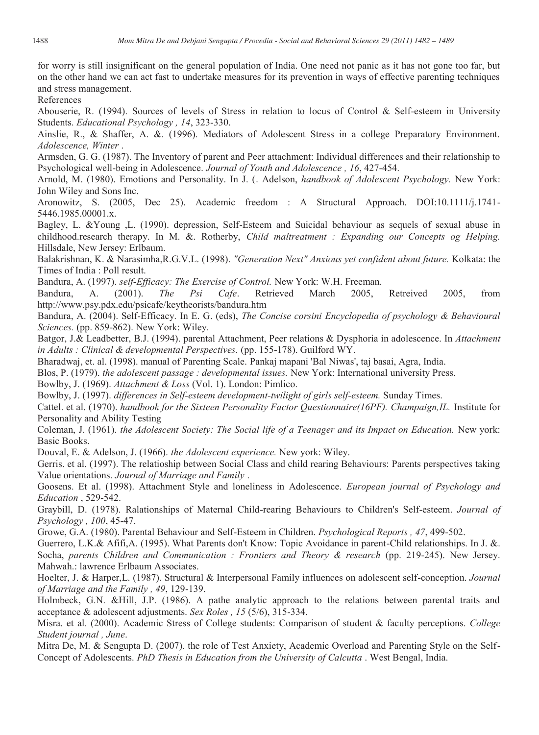for worry is still insignificant on the general population of India. One need not panic as it has not gone too far, but on the other hand we can act fast to undertake measures for its prevention in ways of effective parenting techniques and stress management.

References

Abouserie, R. (1994). Sources of levels of Stress in relation to locus of Control & Self-esteem in University Students. *Educational Psychology , 14*, 323-330.

Ainslie, R., & Shaffer, A. &. (1996). Mediators of Adolescent Stress in a college Preparatory Environment. *Adolescence, Winter* .

Armsden, G. G. (1987). The Inventory of parent and Peer attachment: Individual differences and their relationship to Psychological well-being in Adolescence. *Journal of Youth and Adolescence , 16*, 427-454.

Arnold, M. (1980). Emotions and Personality. In J. (. Adelson, *handbook of Adolescent Psychology.* New York: John Wiley and Sons Inc.

Aronowitz, S. (2005, Dec 25). Academic freedom : A Structural Approach. DOI:10.1111/j.1741- 5446.1985.00001.x.

Bagley, L. &Young ,L. (1990). depression, Self-Esteem and Suicidal behaviour as sequels of sexual abuse in childhood.research therapy. In M. &. Rotherby, *Child maltreatment : Expanding our Concepts og Helping.* Hillsdale, New Jersey: Erlbaum.

Balakrishnan, K. & Narasimha,R.G.V.L. (1998). *"Generation Next" Anxious yet confident about future.* Kolkata: the Times of India : Poll result.

Bandura, A. (1997). *self-Efficacy: The Exercise of Control.* New York: W.H. Freeman.

Bandura, A. (2001). *The Psi Cafe*. Retrieved March 2005, Retreived 2005, from http://www.psy.pdx.edu/psicafe/keytheorists/bandura.htm

Bandura, A. (2004). Self-Efficacy. In E. G. (eds), *The Concise corsini Encyclopedia of psychology & Behavioural Sciences.* (pp. 859-862). New York: Wiley.

Batgor, J.& Leadbetter, B.J. (1994). parental Attachment, Peer relations & Dysphoria in adolescence. In *Attachment in Adults : Clinical & developmental Perspectives.* (pp. 155-178). Guilford WY.

Bharadwaj, et. al. (1998). manual of Parenting Scale. Pankaj mapani 'Bal Niwas', taj basai, Agra, India.

Blos, P. (1979). *the adolescent passage : developmental issues.* New York: International university Press.

Bowlby, J. (1969). *Attachment & Loss* (Vol. 1). London: Pimlico.

Bowlby, J. (1997). *differences in Self-esteem development-twilight of girls self-esteem.* Sunday Times.

Cattel. et al. (1970). *handbook for the Sixteen Personality Factor Questionnaire(16PF). Champaign,IL.* Institute for Personality and Ability Testing

Coleman, J. (1961). *the Adolescent Society: The Social life of a Teenager and its Impact on Education.* New york: Basic Books.

Douval, E. & Adelson, J. (1966). *the Adolescent experience.* New york: Wiley.

Gerris. et al. (1997). The relatioship between Social Class and child rearing Behaviours: Parents perspectives taking Value orientations. *Journal of Marriage and Family* .

Goosens. Et al. (1998). Attachment Style and loneliness in Adolescence. *European journal of Psychology and Education* , 529-542.

Graybill, D. (1978). Ralationships of Maternal Child-rearing Behaviours to Children's Self-esteem. *Journal of Psychology , 100*, 45-47.

Growe, G.A. (1980). Parental Behaviour and Self-Esteem in Children. *Psychological Reports , 47*, 499-502.

Guerrero, L.K.& Afifi,A. (1995). What Parents don't Know: Topic Avoidance in parent-Child relationships. In J. &. Socha, *parents Children and Communication : Frontiers and Theory & research* (pp. 219-245). New Jersey. Mahwah.: lawrence Erlbaum Associates.

Hoelter, J. & Harper,L. (1987). Structural & Interpersonal Family influences on adolescent self-conception. *Journal of Marriage and the Family , 49*, 129-139.

Holmbeck, G.N. &Hill, J.P. (1986). A pathe analytic approach to the relations between parental traits and acceptance & adolescent adjustments. *Sex Roles , 15* (5/6), 315-334.

Misra. et al. (2000). Academic Stress of College students: Comparison of student & faculty perceptions. *College Student journal , June*.

Mitra De, M. & Sengupta D. (2007). the role of Test Anxiety, Academic Overload and Parenting Style on the Self-Concept of Adolescents. *PhD Thesis in Education from the University of Calcutta* . West Bengal, India.